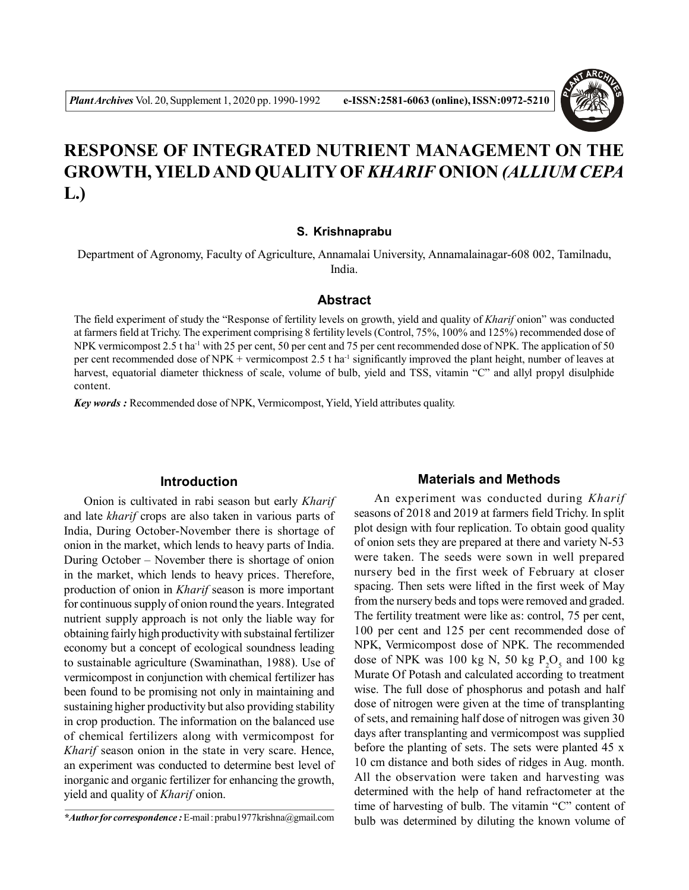# **RESPONSE OF INTEGRATED NUTRIENT MANAGEMENT ON THE GROWTH, YIELD AND QUALITY OF***KHARIF* **ONION** *(ALLIUM CEPA* **L.)**

### **S. Krishnaprabu**

Department of Agronomy, Faculty of Agriculture, Annamalai University, Annamalainagar-608 002, Tamilnadu, India.

#### **Abstract**

The field experiment of study the "Response of fertility levels on growth, yield and quality of *Kharif* onion" was conducted at farmers field at Trichy. The experiment comprising 8 fertility levels (Control, 75%, 100% and 125%) recommended dose of NPK vermicompost 2.5 t ha<sup>-1</sup> with 25 per cent, 50 per cent and 75 per cent recommended dose of NPK. The application of 50 per cent recommended dose of NPK + vermicompost 2.5 t ha<sup>-1</sup> significantly improved the plant height, number of leaves at harvest, equatorial diameter thickness of scale, volume of bulb, yield and TSS, vitamin "C" and allyl propyl disulphide content.

*Key words :* Recommended dose of NPK, Vermicompost, Yield, Yield attributes quality.

# **Introduction**

Onion is cultivated in rabi season but early *Kharif* and late *kharif* crops are also taken in various parts of India, During October-November there is shortage of onion in the market, which lends to heavy parts of India. During October – November there is shortage of onion in the market, which lends to heavy prices. Therefore, production of onion in *Kharif* season is more important for continuous supply of onion round the years. Integrated nutrient supply approach is not only the liable way for obtaining fairly high productivity with substainal fertilizer economy but a concept of ecological soundness leading to sustainable agriculture (Swaminathan, 1988). Use of vermicompost in conjunction with chemical fertilizer has been found to be promising not only in maintaining and sustaining higher productivity but also providing stability in crop production. The information on the balanced use of chemical fertilizers along with vermicompost for *Kharif* season onion in the state in very scare. Hence, an experiment was conducted to determine best level of inorganic and organic fertilizer for enhancing the growth, yield and quality of *Kharif* onion.

## **Materials and Methods**

An experiment was conducted during *Kharif* seasons of 2018 and 2019 at farmers field Trichy. In split plot design with four replication. To obtain good quality of onion sets they are prepared at there and variety N-53 were taken. The seeds were sown in well prepared nursery bed in the first week of February at closer spacing. Then sets were lifted in the first week of May from the nursery beds and tops were removed and graded. The fertility treatment were like as: control, 75 per cent, 100 per cent and 125 per cent recommended dose of NPK, Vermicompost dose of NPK. The recommended dose of NPK was 100 kg N, 50 kg  $P_2O_5$  and 100 kg Murate Of Potash and calculated according to treatment wise. The full dose of phosphorus and potash and half dose of nitrogen were given at the time of transplanting of sets, and remaining half dose of nitrogen was given 30 days after transplanting and vermicompost was supplied before the planting of sets. The sets were planted 45 x 10 cm distance and both sides of ridges in Aug. month. All the observation were taken and harvesting was determined with the help of hand refractometer at the time of harvesting of bulb. The vitamin "C" content of bulb was determined by diluting the known volume of

*<sup>\*</sup>Author for correspondence :* E-mail : prabu1977krishna@gmail.com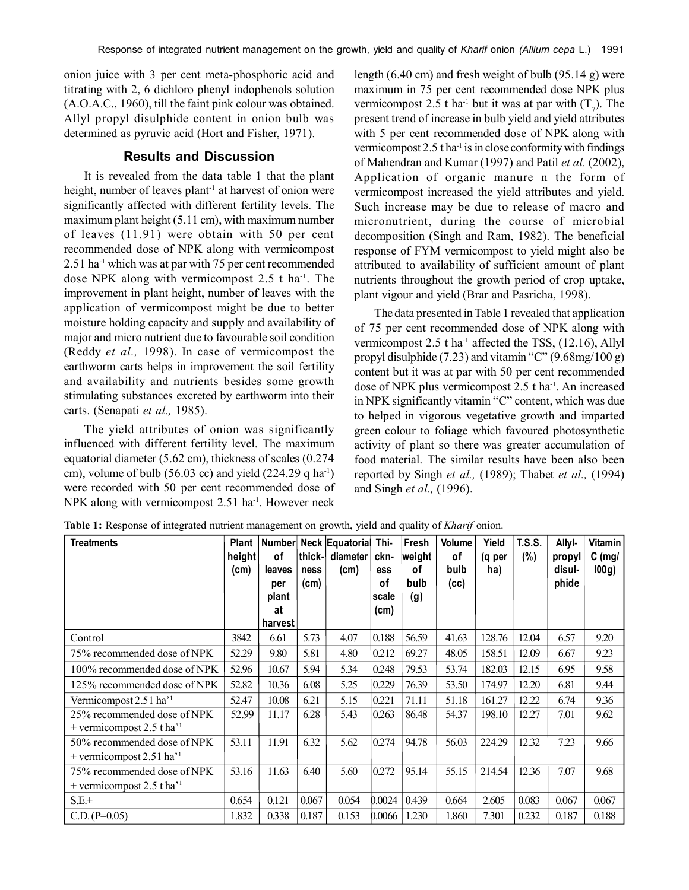onion juice with 3 per cent meta-phosphoric acid and titrating with 2, 6 dichloro phenyl indophenols solution (A.O.A.C., 1960), till the faint pink colour was obtained. Allyl propyl disulphide content in onion bulb was determined as pyruvic acid (Hort and Fisher, 1971).

# **Results and Discussion**

It is revealed from the data table 1 that the plant height, number of leaves plant<sup>-1</sup> at harvest of onion were significantly affected with different fertility levels. The maximum plant height (5.11 cm), with maximum number of leaves (11.91) were obtain with 50 per cent recommended dose of NPK along with vermicompost 2.51 ha<sup>-1</sup> which was at par with 75 per cent recommended dose NPK along with vermicompost  $2.5$  t ha<sup>-1</sup>. The improvement in plant height, number of leaves with the application of vermicompost might be due to better moisture holding capacity and supply and availability of major and micro nutrient due to favourable soil condition (Reddy *et al.,* 1998). In case of vermicompost the earthworm carts helps in improvement the soil fertility and availability and nutrients besides some growth stimulating substances excreted by earthworm into their carts. (Senapati *et al.,* 1985).

The yield attributes of onion was significantly influenced with different fertility level. The maximum equatorial diameter (5.62 cm), thickness of scales (0.274 cm), volume of bulb (56.03 cc) and yield (224.29 q ha<sup>-1</sup>) were recorded with 50 per cent recommended dose of NPK along with vermicompost 2.51 ha<sup>-1</sup>. However neck

length (6.40 cm) and fresh weight of bulb (95.14 g) were maximum in 75 per cent recommended dose NPK plus vermicompost 2.5 t ha<sup>-1</sup> but it was at par with  $(T_7)$ . The present trend of increase in bulb yield and yield attributes with 5 per cent recommended dose of NPK along with vermicompost 2.5 t ha<sup>-1</sup> is in close conformity with findings of Mahendran and Kumar (1997) and Patil *et al.* (2002), Application of organic manure n the form of vermicompost increased the yield attributes and yield. Such increase may be due to release of macro and micronutrient, during the course of microbial decomposition (Singh and Ram, 1982). The beneficial response of FYM vermicompost to yield might also be attributed to availability of sufficient amount of plant nutrients throughout the growth period of crop uptake, plant vigour and yield (Brar and Pasricha, 1998).

The data presented in Table 1 revealed that application of 75 per cent recommended dose of NPK along with vermicompost  $2.5$  t ha<sup>-1</sup> affected the TSS,  $(12.16)$ , Allyl propyl disulphide  $(7.23)$  and vitamin "C"  $(9.68 \text{mg}/100 \text{ g})$ content but it was at par with 50 per cent recommended dose of NPK plus vermicompost 2.5 t ha<sup>-1</sup>. An increased in NPK significantly vitamin "C" content, which was due to helped in vigorous vegetative growth and imparted green colour to foliage which favoured photosynthetic activity of plant so there was greater accumulation of food material. The similar results have been also been reported by Singh *et al.,* (1989); Thabet *et al.,* (1994) and Singh *et al.,* (1996).

| <b>Treatments</b>                                                     | <b>Plant</b><br>height | Number <br>οf | thick-       | <b>Neck Equatorial</b><br>diameter | Thi-<br>ckn- | Fresh<br>weight | Volume<br>οf | Yield<br>(q per | T.S.S.<br>(%) | Allyl-<br>propyl | <b>Vitamin</b><br>$C$ (mg/ |
|-----------------------------------------------------------------------|------------------------|---------------|--------------|------------------------------------|--------------|-----------------|--------------|-----------------|---------------|------------------|----------------------------|
|                                                                       | (cm)                   | leaves<br>per | ness<br>(cm) | (cm)                               | ess<br>οf    | οf<br>bulb      | bulb<br>(cc) | ha)             |               | disul-<br>phide  | 100g)                      |
|                                                                       |                        | plant         |              |                                    | scale        | (g)             |              |                 |               |                  |                            |
|                                                                       |                        | at<br>harvest |              |                                    | (cm)         |                 |              |                 |               |                  |                            |
| Control                                                               | 3842                   | 6.61          | 5.73         | 4.07                               | 0.188        | 56.59           | 41.63        | 128.76          | 12.04         | 6.57             | 9.20                       |
| 75% recommended dose of NPK                                           | 52.29                  | 9.80          | 5.81         | 4.80                               | 0.212        | 69.27           | 48.05        | 158.51          | 12.09         | 6.67             | 9.23                       |
| 100% recommended dose of NPK                                          | 52.96                  | 10.67         | 5.94         | 5.34                               | 0.248        | 79.53           | 53.74        | 182.03          | 12.15         | 6.95             | 9.58                       |
| 125% recommended dose of NPK                                          | 52.82                  | 10.36         | 6.08         | 5.25                               | 0.229        | 76.39           | 53.50        | 174.97          | 12.20         | 6.81             | 9.44                       |
| Vermicompost 2.51 ha' <sup>1</sup>                                    | 52.47                  | 10.08         | 6.21         | 5.15                               | 0.221        | 71.11           | 51.18        | 161.27          | 12.22         | 6.74             | 9.36                       |
| 25% recommended dose of NPK<br>+ vermicompost 2.5 t ha <sup>-1</sup>  | 52.99                  | 11.17         | 6.28         | 5.43                               | 0.263        | 86.48           | 54.37        | 198.10          | 12.27         | 7.01             | 9.62                       |
| 50% recommended dose of NPK<br>+ vermicompost $2.51$ ha <sup>-1</sup> | 53.11                  | 11.91         | 6.32         | 5.62                               | 0.274        | 94.78           | 56.03        | 224.29          | 12.32         | 7.23             | 9.66                       |
| 75% recommended dose of NPK                                           | 53.16                  | 11.63         | 6.40         | 5.60                               | 0.272        | 95.14           | 55.15        | 214.54          | 12.36         | 7.07             | 9.68                       |
| + vermicompost 2.5 t ha <sup>11</sup>                                 |                        |               |              |                                    |              |                 |              |                 |               |                  |                            |
| $S.E. \pm$                                                            | 0.654                  | 0.121         | 0.067        | 0.054                              | 0.0024       | 0.439           | 0.664        | 2.605           | 0.083         | 0.067            | 0.067                      |
| $C.D. (P=0.05)$                                                       | 1.832                  | 0.338         | 0.187        | 0.153                              | 0.0066       | 1.230           | 1.860        | 7.301           | 0.232         | 0.187            | 0.188                      |

**Table 1:** Response of integrated nutrient management on growth, yield and quality of *Kharif* onion.